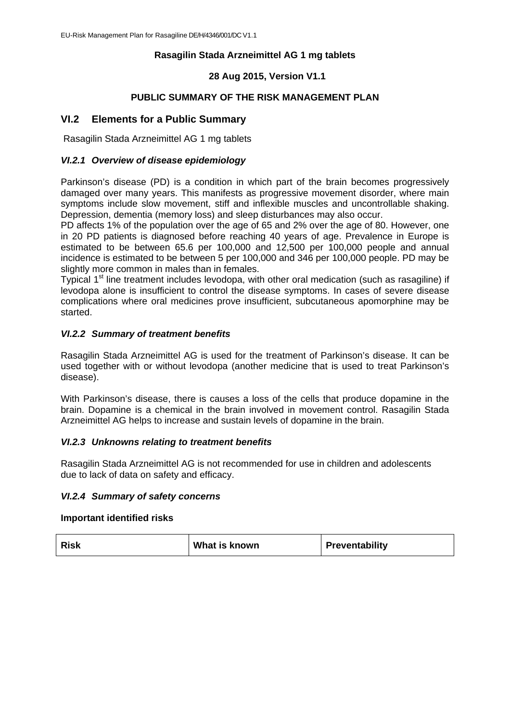# **Rasagilin Stada Arzneimittel AG 1 mg tablets**

### **28 Aug 2015, Version V1.1**

#### **PUBLIC SUMMARY OF THE RISK MANAGEMENT PLAN**

# **VI.2 Elements for a Public Summary**

Rasagilin Stada Arzneimittel AG 1 mg tablets

#### *VI.2.1 Overview of disease epidemiology*

Parkinson's disease (PD) is a condition in which part of the brain becomes progressively damaged over many years. This manifests as progressive movement disorder, where main symptoms include slow movement, stiff and inflexible muscles and uncontrollable shaking. Depression, dementia (memory loss) and sleep disturbances may also occur.

PD affects 1% of the population over the age of 65 and 2% over the age of 80. However, one in 20 PD patients is diagnosed before reaching 40 years of age. Prevalence in Europe is estimated to be between 65.6 per 100,000 and 12,500 per 100,000 people and annual incidence is estimated to be between 5 per 100,000 and 346 per 100,000 people. PD may be slightly more common in males than in females.

Typical 1<sup>st</sup> line treatment includes levodopa, with other oral medication (such as rasagiline) if levodopa alone is insufficient to control the disease symptoms. In cases of severe disease complications where oral medicines prove insufficient, subcutaneous apomorphine may be started.

#### *VI.2.2 Summary of treatment benefits*

Rasagilin Stada Arzneimittel AG is used for the treatment of Parkinson's disease. It can be used together with or without levodopa (another medicine that is used to treat Parkinson's disease).

With Parkinson's disease, there is causes a loss of the cells that produce dopamine in the brain. Dopamine is a chemical in the brain involved in movement control. Rasagilin Stada Arzneimittel AG helps to increase and sustain levels of dopamine in the brain.

#### *VI.2.3 Unknowns relating to treatment benefits*

Rasagilin Stada Arzneimittel AG is not recommended for use in children and adolescents due to lack of data on safety and efficacy.

#### *VI.2.4 Summary of safety concerns*

#### **Important identified risks**

| <b>Risk</b> | What is known | Preventability |
|-------------|---------------|----------------|
|             |               |                |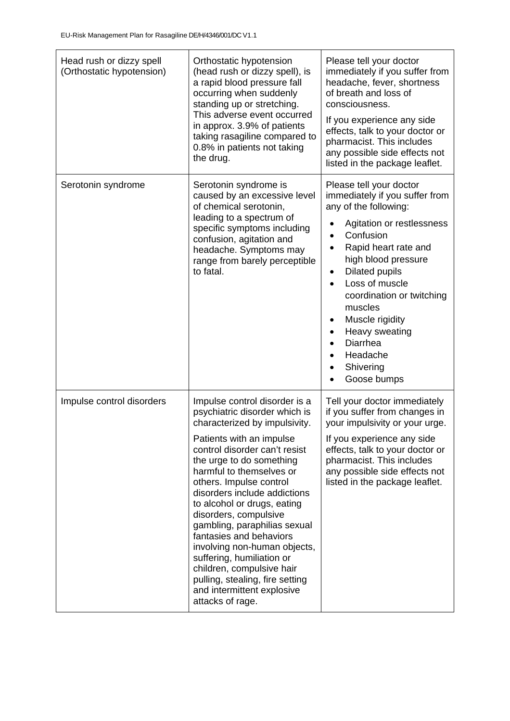| Head rush or dizzy spell<br>(Orthostatic hypotension) | Orthostatic hypotension<br>(head rush or dizzy spell), is<br>a rapid blood pressure fall<br>occurring when suddenly<br>standing up or stretching.<br>This adverse event occurred<br>in approx. 3.9% of patients<br>taking rasagiline compared to<br>0.8% in patients not taking<br>the drug.                                                                                                                                                                                                                                                                                      | Please tell your doctor<br>immediately if you suffer from<br>headache, fever, shortness<br>of breath and loss of<br>consciousness.<br>If you experience any side<br>effects, talk to your doctor or<br>pharmacist. This includes<br>any possible side effects not<br>listed in the package leaflet.                                                                                                      |
|-------------------------------------------------------|-----------------------------------------------------------------------------------------------------------------------------------------------------------------------------------------------------------------------------------------------------------------------------------------------------------------------------------------------------------------------------------------------------------------------------------------------------------------------------------------------------------------------------------------------------------------------------------|----------------------------------------------------------------------------------------------------------------------------------------------------------------------------------------------------------------------------------------------------------------------------------------------------------------------------------------------------------------------------------------------------------|
| Serotonin syndrome                                    | Serotonin syndrome is<br>caused by an excessive level<br>of chemical serotonin,<br>leading to a spectrum of<br>specific symptoms including<br>confusion, agitation and<br>headache. Symptoms may<br>range from barely perceptible<br>to fatal.                                                                                                                                                                                                                                                                                                                                    | Please tell your doctor<br>immediately if you suffer from<br>any of the following:<br>Agitation or restlessness<br>Confusion<br>$\bullet$<br>Rapid heart rate and<br>٠<br>high blood pressure<br><b>Dilated pupils</b><br>٠<br>Loss of muscle<br>coordination or twitching<br>muscles<br>Muscle rigidity<br>$\bullet$<br>Heavy sweating<br>Diarrhea<br>Headache<br>Shivering<br>$\bullet$<br>Goose bumps |
| Impulse control disorders                             | Impulse control disorder is a<br>psychiatric disorder which is<br>characterized by impulsivity.<br>Patients with an impulse<br>control disorder can't resist<br>the urge to do something<br>harmful to themselves or<br>others. Impulse control<br>disorders include addictions<br>to alcohol or drugs, eating<br>disorders, compulsive<br>gambling, paraphilias sexual<br>fantasies and behaviors<br>involving non-human objects,<br>suffering, humiliation or<br>children, compulsive hair<br>pulling, stealing, fire setting<br>and intermittent explosive<br>attacks of rage. | Tell your doctor immediately<br>if you suffer from changes in<br>your impulsivity or your urge.<br>If you experience any side<br>effects, talk to your doctor or<br>pharmacist. This includes<br>any possible side effects not<br>listed in the package leaflet.                                                                                                                                         |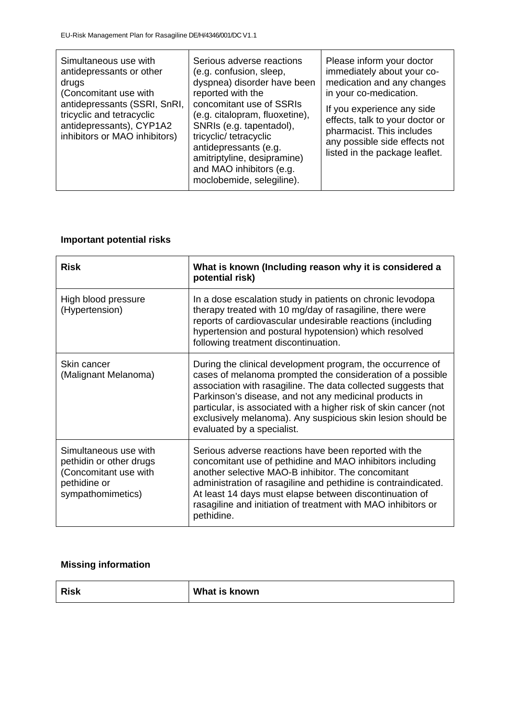| Simultaneous use with<br>antidepressants or other<br>drugs<br>(Concomitant use with<br>antidepressants (SSRI, SnRI,<br>tricyclic and tetracyclic<br>antidepressants), CYP1A2<br>inhibitors or MAO inhibitors) | Serious adverse reactions<br>(e.g. confusion, sleep,<br>dyspnea) disorder have been<br>reported with the<br>concomitant use of SSRIs<br>(e.g. citalopram, fluoxetine),<br>SNRIs (e.g. tapentadol),<br>tricyclic/tetracyclic<br>antidepressants (e.g.<br>amitriptyline, desipramine)<br>and MAO inhibitors (e.g.<br>moclobemide, selegiline). | Please inform your doctor<br>immediately about your co-<br>medication and any changes<br>in your co-medication.<br>If you experience any side<br>effects, talk to your doctor or<br>pharmacist. This includes<br>any possible side effects not<br>listed in the package leaflet. |
|---------------------------------------------------------------------------------------------------------------------------------------------------------------------------------------------------------------|----------------------------------------------------------------------------------------------------------------------------------------------------------------------------------------------------------------------------------------------------------------------------------------------------------------------------------------------|----------------------------------------------------------------------------------------------------------------------------------------------------------------------------------------------------------------------------------------------------------------------------------|
|---------------------------------------------------------------------------------------------------------------------------------------------------------------------------------------------------------------|----------------------------------------------------------------------------------------------------------------------------------------------------------------------------------------------------------------------------------------------------------------------------------------------------------------------------------------------|----------------------------------------------------------------------------------------------------------------------------------------------------------------------------------------------------------------------------------------------------------------------------------|

# **Important potential risks**

| <b>Risk</b>                                                                                                    | What is known (Including reason why it is considered a<br>potential risk)                                                                                                                                                                                                                                                                                                                                            |
|----------------------------------------------------------------------------------------------------------------|----------------------------------------------------------------------------------------------------------------------------------------------------------------------------------------------------------------------------------------------------------------------------------------------------------------------------------------------------------------------------------------------------------------------|
| High blood pressure<br>(Hypertension)                                                                          | In a dose escalation study in patients on chronic levodopa<br>therapy treated with 10 mg/day of rasagiline, there were<br>reports of cardiovascular undesirable reactions (including<br>hypertension and postural hypotension) which resolved<br>following treatment discontinuation.                                                                                                                                |
| Skin cancer<br>(Malignant Melanoma)                                                                            | During the clinical development program, the occurrence of<br>cases of melanoma prompted the consideration of a possible<br>association with rasagiline. The data collected suggests that<br>Parkinson's disease, and not any medicinal products in<br>particular, is associated with a higher risk of skin cancer (not<br>exclusively melanoma). Any suspicious skin lesion should be<br>evaluated by a specialist. |
| Simultaneous use with<br>pethidin or other drugs<br>(Concomitant use with<br>pethidine or<br>sympathomimetics) | Serious adverse reactions have been reported with the<br>concomitant use of pethidine and MAO inhibitors including<br>another selective MAO-B inhibitor. The concomitant<br>administration of rasagiline and pethidine is contraindicated.<br>At least 14 days must elapse between discontinuation of<br>rasagiline and initiation of treatment with MAO inhibitors or<br>pethidine.                                 |

# **Missing information**

| <b>Risk</b> | What is known |
|-------------|---------------|
|-------------|---------------|